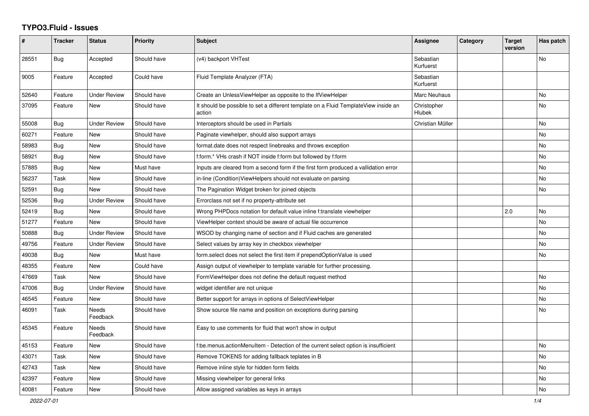## **TYPO3.Fluid - Issues**

| #     | <b>Tracker</b> | <b>Status</b>            | <b>Priority</b> | <b>Subject</b>                                                                                | Assignee               | Category | <b>Target</b><br>version | Has patch |
|-------|----------------|--------------------------|-----------------|-----------------------------------------------------------------------------------------------|------------------------|----------|--------------------------|-----------|
| 28551 | Bug            | Accepted                 | Should have     | (v4) backport VHTest                                                                          | Sebastian<br>Kurfuerst |          |                          | No        |
| 9005  | Feature        | Accepted                 | Could have      | Fluid Template Analyzer (FTA)                                                                 | Sebastian<br>Kurfuerst |          |                          |           |
| 52640 | Feature        | <b>Under Review</b>      | Should have     | Create an UnlessViewHelper as opposite to the IfViewHelper                                    | Marc Neuhaus           |          |                          | No        |
| 37095 | Feature        | New                      | Should have     | It should be possible to set a different template on a Fluid TemplateView inside an<br>action | Christopher<br>Hlubek  |          |                          | No        |
| 55008 | Bug            | <b>Under Review</b>      | Should have     | Interceptors should be used in Partials                                                       | Christian Müller       |          |                          | No        |
| 60271 | Feature        | <b>New</b>               | Should have     | Paginate viewhelper, should also support arrays                                               |                        |          |                          | <b>No</b> |
| 58983 | <b>Bug</b>     | New                      | Should have     | format.date does not respect linebreaks and throws exception                                  |                        |          |                          | No        |
| 58921 | Bug            | <b>New</b>               | Should have     | f:form.* VHs crash if NOT inside f:form but followed by f:form                                |                        |          |                          | No        |
| 57885 | Bug            | New                      | Must have       | Inputs are cleared from a second form if the first form produced a vallidation error          |                        |          |                          | <b>No</b> |
| 56237 | Task           | New                      | Should have     | in-line (Condition) View Helpers should not evaluate on parsing                               |                        |          |                          | <b>No</b> |
| 52591 | Bug            | <b>New</b>               | Should have     | The Pagination Widget broken for joined objects                                               |                        |          |                          | No        |
| 52536 | <b>Bug</b>     | <b>Under Review</b>      | Should have     | Errorclass not set if no property-attribute set                                               |                        |          |                          |           |
| 52419 | Bug            | <b>New</b>               | Should have     | Wrong PHPDocs notation for default value inline f:translate viewhelper                        |                        |          | 2.0                      | <b>No</b> |
| 51277 | Feature        | <b>New</b>               | Should have     | ViewHelper context should be aware of actual file occurrence                                  |                        |          |                          | No        |
| 50888 | Bug            | <b>Under Review</b>      | Should have     | WSOD by changing name of section and if Fluid caches are generated                            |                        |          |                          | <b>No</b> |
| 49756 | Feature        | <b>Under Review</b>      | Should have     | Select values by array key in checkbox viewhelper                                             |                        |          |                          | No        |
| 49038 | Bug            | New                      | Must have       | form select does not select the first item if prependOptionValue is used                      |                        |          |                          | No        |
| 48355 | Feature        | New                      | Could have      | Assign output of viewhelper to template variable for further processing.                      |                        |          |                          |           |
| 47669 | Task           | New                      | Should have     | FormViewHelper does not define the default request method                                     |                        |          |                          | No        |
| 47006 | Bug            | <b>Under Review</b>      | Should have     | widget identifier are not unique                                                              |                        |          |                          | <b>No</b> |
| 46545 | Feature        | <b>New</b>               | Should have     | Better support for arrays in options of SelectViewHelper                                      |                        |          |                          | <b>No</b> |
| 46091 | Task           | <b>Needs</b><br>Feedback | Should have     | Show source file name and position on exceptions during parsing                               |                        |          |                          | <b>No</b> |
| 45345 | Feature        | Needs<br>Feedback        | Should have     | Easy to use comments for fluid that won't show in output                                      |                        |          |                          |           |
| 45153 | Feature        | <b>New</b>               | Should have     | f:be.menus.actionMenuItem - Detection of the current select option is insufficient            |                        |          |                          | <b>No</b> |
| 43071 | Task           | New                      | Should have     | Remove TOKENS for adding fallback teplates in B                                               |                        |          |                          | No        |
| 42743 | Task           | New                      | Should have     | Remove inline style for hidden form fields                                                    |                        |          |                          | No        |
| 42397 | Feature        | New                      | Should have     | Missing viewhelper for general links                                                          |                        |          |                          | No        |
| 40081 | Feature        | <b>New</b>               | Should have     | Allow assigned variables as keys in arrays                                                    |                        |          |                          | <b>No</b> |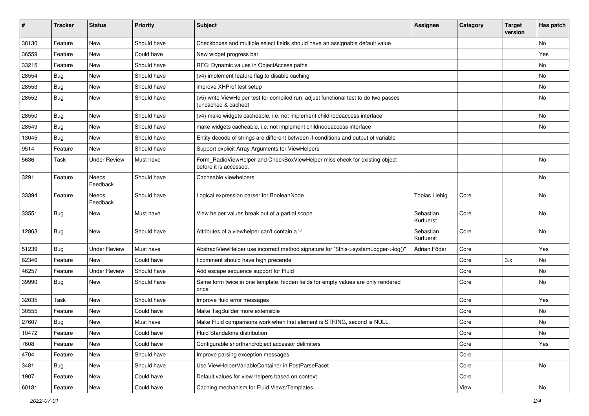| ∦     | <b>Tracker</b> | <b>Status</b>            | <b>Priority</b> | Subject                                                                                                     | <b>Assignee</b>        | Category | <b>Target</b><br>version | Has patch |
|-------|----------------|--------------------------|-----------------|-------------------------------------------------------------------------------------------------------------|------------------------|----------|--------------------------|-----------|
| 38130 | Feature        | New                      | Should have     | Checkboxes and multiple select fields should have an assignable default value                               |                        |          |                          | No        |
| 36559 | Feature        | New                      | Could have      | New widget progress bar                                                                                     |                        |          |                          | Yes       |
| 33215 | Feature        | New                      | Should have     | RFC: Dynamic values in ObjectAccess paths                                                                   |                        |          |                          | No        |
| 28554 | Bug            | New                      | Should have     | (v4) implement feature flag to disable caching                                                              |                        |          |                          | No        |
| 28553 | Bug            | New                      | Should have     | improve XHProf test setup                                                                                   |                        |          |                          | No        |
| 28552 | Bug            | New                      | Should have     | (v5) write ViewHelper test for compiled run; adjust functional test to do two passes<br>(uncached & cached) |                        |          |                          | No        |
| 28550 | <b>Bug</b>     | New                      | Should have     | (v4) make widgets cacheable, i.e. not implement childnodeaccess interface                                   |                        |          |                          | No        |
| 28549 | Bug            | <b>New</b>               | Should have     | make widgets cacheable, i.e. not implement childnodeaccess interface                                        |                        |          |                          | No        |
| 13045 | <b>Bug</b>     | New                      | Should have     | Entity decode of strings are different between if-conditions and output of variable                         |                        |          |                          |           |
| 9514  | Feature        | New                      | Should have     | Support explicit Array Arguments for ViewHelpers                                                            |                        |          |                          |           |
| 5636  | Task           | Under Review             | Must have       | Form_RadioViewHelper and CheckBoxViewHelper miss check for existing object<br>before it is accessed.        |                        |          |                          | No        |
| 3291  | Feature        | <b>Needs</b><br>Feedback | Should have     | Cacheable viewhelpers                                                                                       |                        |          |                          | No        |
| 33394 | Feature        | Needs<br>Feedback        | Should have     | Logical expression parser for BooleanNode                                                                   | Tobias Liebig          | Core     |                          | No        |
| 33551 | Bug            | New                      | Must have       | View helper values break out of a partial scope                                                             | Sebastian<br>Kurfuerst | Core     |                          | No        |
| 12863 | Bug            | New                      | Should have     | Attributes of a viewhelper can't contain a '-'                                                              | Sebastian<br>Kurfuerst | Core     |                          | No        |
| 51239 | <b>Bug</b>     | <b>Under Review</b>      | Must have       | AbstractViewHelper use incorrect method signature for "\$this->systemLogger->log()"                         | Adrian Föder           | Core     |                          | Yes       |
| 62346 | Feature        | New                      | Could have      | f:comment should have high precende                                                                         |                        | Core     | 3.x                      | No        |
| 46257 | Feature        | <b>Under Review</b>      | Should have     | Add escape sequence support for Fluid                                                                       |                        | Core     |                          | No        |
| 39990 | Bug            | New                      | Should have     | Same form twice in one template: hidden fields for empty values are only rendered<br>once                   |                        | Core     |                          | No        |
| 32035 | Task           | New                      | Should have     | Improve fluid error messages                                                                                |                        | Core     |                          | Yes       |
| 30555 | Feature        | New                      | Could have      | Make TagBuilder more extensible                                                                             |                        | Core     |                          | No        |
| 27607 | Bug            | New                      | Must have       | Make Fluid comparisons work when first element is STRING, second is NULL.                                   |                        | Core     |                          | No        |
| 10472 | Feature        | New                      | Could have      | Fluid Standalone distribution                                                                               |                        | Core     |                          | No        |
| 7608  | Feature        | New                      | Could have      | Configurable shorthand/object accessor delimiters                                                           |                        | Core     |                          | Yes       |
| 4704  | Feature        | New                      | Should have     | Improve parsing exception messages                                                                          |                        | Core     |                          |           |
| 3481  | Bug            | New                      | Should have     | Use ViewHelperVariableContainer in PostParseFacet                                                           |                        | Core     |                          | No        |
| 1907  | Feature        | New                      | Could have      | Default values for view helpers based on context                                                            |                        | Core     |                          |           |
| 60181 | Feature        | New                      | Could have      | Caching mechanism for Fluid Views/Templates                                                                 |                        | View     |                          | No        |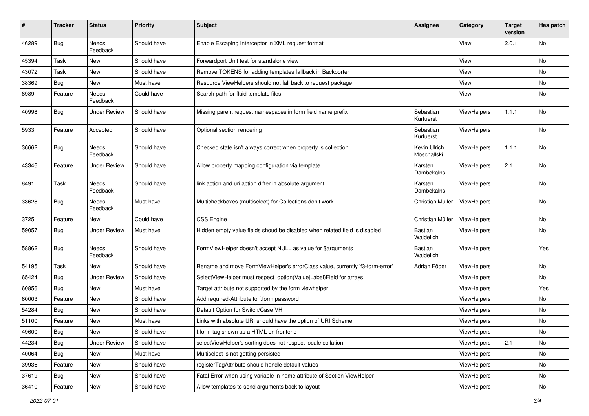| #     | <b>Tracker</b> | <b>Status</b>            | <b>Priority</b> | Subject                                                                      | <b>Assignee</b>             | Category           | <b>Target</b><br>version | Has patch |
|-------|----------------|--------------------------|-----------------|------------------------------------------------------------------------------|-----------------------------|--------------------|--------------------------|-----------|
| 46289 | Bug            | <b>Needs</b><br>Feedback | Should have     | Enable Escaping Interceptor in XML request format                            |                             | View               | 2.0.1                    | No        |
| 45394 | Task           | New                      | Should have     | Forwardport Unit test for standalone view                                    |                             | View               |                          | No        |
| 43072 | Task           | New                      | Should have     | Remove TOKENS for adding templates fallback in Backporter                    |                             | View               |                          | No        |
| 38369 | Bug            | New                      | Must have       | Resource ViewHelpers should not fall back to request package                 |                             | View               |                          | No        |
| 8989  | Feature        | <b>Needs</b><br>Feedback | Could have      | Search path for fluid template files                                         |                             | View               |                          | No        |
| 40998 | Bug            | <b>Under Review</b>      | Should have     | Missing parent request namespaces in form field name prefix                  | Sebastian<br>Kurfuerst      | ViewHelpers        | 1.1.1                    | No        |
| 5933  | Feature        | Accepted                 | Should have     | Optional section rendering                                                   | Sebastian<br>Kurfuerst      | ViewHelpers        |                          | No        |
| 36662 | <b>Bug</b>     | Needs<br>Feedback        | Should have     | Checked state isn't always correct when property is collection               | Kevin Ulrich<br>Moschallski | ViewHelpers        | 1.1.1                    | No        |
| 43346 | Feature        | <b>Under Review</b>      | Should have     | Allow property mapping configuration via template                            | Karsten<br>Dambekalns       | ViewHelpers        | 2.1                      | No        |
| 8491  | Task           | Needs<br>Feedback        | Should have     | link.action and uri.action differ in absolute argument                       | Karsten<br>Dambekalns       | <b>ViewHelpers</b> |                          | No        |
| 33628 | Bug            | Needs<br>Feedback        | Must have       | Multicheckboxes (multiselect) for Collections don't work                     | Christian Müller            | ViewHelpers        |                          | No        |
| 3725  | Feature        | New                      | Could have      | <b>CSS Engine</b>                                                            | Christian Müller            | ViewHelpers        |                          | No        |
| 59057 | <b>Bug</b>     | <b>Under Review</b>      | Must have       | Hidden empty value fields shoud be disabled when related field is disabled   | <b>Bastian</b><br>Waidelich | ViewHelpers        |                          | No        |
| 58862 | <b>Bug</b>     | Needs<br>Feedback        | Should have     | FormViewHelper doesn't accept NULL as value for \$arguments                  | <b>Bastian</b><br>Waidelich | ViewHelpers        |                          | Yes       |
| 54195 | Task           | New                      | Should have     | Rename and move FormViewHelper's errorClass value, currently 'f3-form-error' | Adrian Föder                | ViewHelpers        |                          | No        |
| 65424 | Bug            | <b>Under Review</b>      | Should have     | SelectViewHelper must respect option(Value Label)Field for arrays            |                             | ViewHelpers        |                          | <b>No</b> |
| 60856 | <b>Bug</b>     | New                      | Must have       | Target attribute not supported by the form viewhelper                        |                             | ViewHelpers        |                          | Yes       |
| 60003 | Feature        | New                      | Should have     | Add required-Attribute to f:form.password                                    |                             | ViewHelpers        |                          | No        |
| 54284 | <b>Bug</b>     | New                      | Should have     | Default Option for Switch/Case VH                                            |                             | ViewHelpers        |                          | No        |
| 51100 | Feature        | New                      | Must have       | Links with absolute URI should have the option of URI Scheme                 |                             | ViewHelpers        |                          | No        |
| 49600 | Bug            | New                      | Should have     | f:form tag shown as a HTML on frontend                                       |                             | ViewHelpers        |                          | No        |
| 44234 | Bug            | <b>Under Review</b>      | Should have     | selectViewHelper's sorting does not respect locale collation                 |                             | ViewHelpers        | 2.1                      | No        |
| 40064 | Bug            | New                      | Must have       | Multiselect is not getting persisted                                         |                             | ViewHelpers        |                          | No        |
| 39936 | Feature        | New                      | Should have     | registerTagAttribute should handle default values                            |                             | ViewHelpers        |                          | No        |
| 37619 | Bug            | New                      | Should have     | Fatal Error when using variable in name attribute of Section ViewHelper      |                             | ViewHelpers        |                          | No        |
| 36410 | Feature        | New                      | Should have     | Allow templates to send arguments back to layout                             |                             | ViewHelpers        |                          | No        |